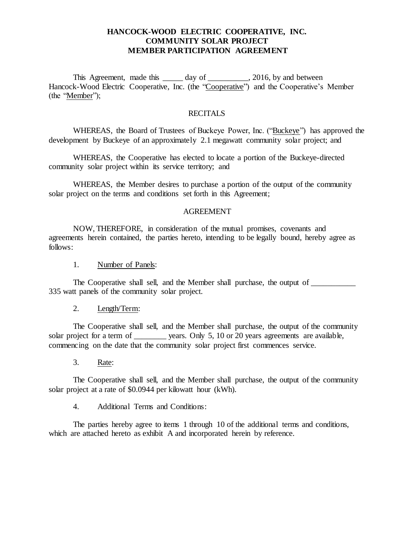## **HANCOCK-WOOD ELECTRIC COOPERATIVE, INC. COMMUNITY SOLAR PROJECT MEMBER PARTICIPATION AGREEMENT**

This Agreement, made this \_\_\_\_\_\_ day of \_\_\_\_\_\_\_\_\_, 2016, by and between Hancock-Wood Electric Cooperative, Inc. (the "Cooperative") and the Cooperative's Member (the "Member");

### RECITALS

WHEREAS, the Board of Trustees of Buckeye Power, Inc. ("Buckeye") has approved the development by Buckeye of an approximately 2.1 megawatt community solar project; and

WHEREAS, the Cooperative has elected to locate a portion of the Buckeye-directed community solar project within its service territory; and

WHEREAS, the Member desires to purchase a portion of the output of the community solar project on the terms and conditions set forth in this Agreement;

#### AGREEMENT

NOW, THEREFORE, in consideration of the mutual promises, covenants and agreements herein contained, the parties hereto, intending to be legally bound, hereby agree as follows:

1. Number of Panels:

The Cooperative shall sell, and the Member shall purchase, the output of 335 watt panels of the community solar project.

2. Length/Term:

The Cooperative shall sell, and the Member shall purchase, the output of the community solar project for a term of \_\_\_\_\_\_\_\_ years. Only 5, 10 or 20 years agreements are available, commencing on the date that the community solar project first commences service.

3. Rate:

The Cooperative shall sell, and the Member shall purchase, the output of the community solar project at a rate of \$0.0944 per kilowatt hour (kWh).

4. Additional Terms and Conditions:

The parties hereby agree to items 1 through 10 of the additional terms and conditions, which are attached hereto as exhibit A and incorporated herein by reference.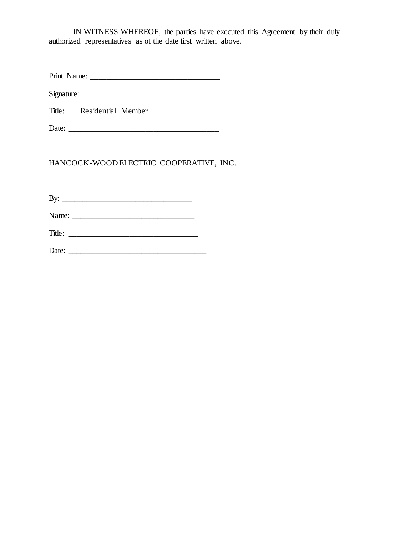IN WITNESS WHEREOF, the parties have executed this Agreement by their duly authorized representatives as of the date first written above.

Print Name: \_\_\_\_\_\_\_\_\_\_\_\_\_\_\_\_\_\_\_\_\_\_\_\_\_\_\_\_\_\_\_\_

 $Signature:$ 

Title: Residential Member

Date: \_\_\_\_\_\_\_\_\_\_\_\_\_\_\_\_\_\_\_\_\_\_\_\_\_\_\_\_\_\_\_\_\_\_\_\_\_

HANCOCK-WOOD ELECTRIC COOPERATIVE, INC.

By:  $\Box$ Name: \_\_\_\_\_\_\_\_\_\_\_\_\_\_\_\_\_\_\_\_\_\_\_\_\_\_\_\_\_\_ Title: \_\_\_\_\_\_\_\_\_\_\_\_\_\_\_\_\_\_\_\_\_\_\_\_\_\_\_\_\_\_\_\_ Date: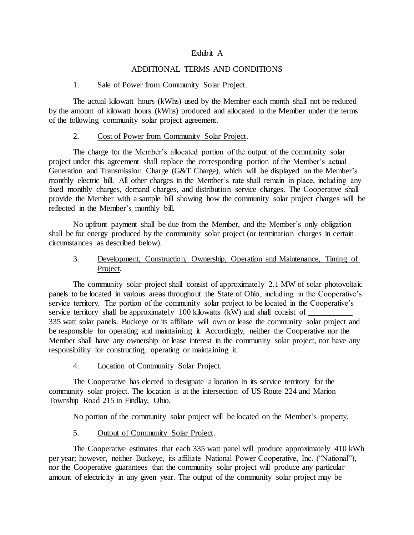#### Exhibit A

### ADDITIONAL TERMS AND CONDITIONS

#### 1. Sale of Power from Community Solar Project.

The actual kilowatt hours (kWhs) used by the Member each month shall not be reduced by the amount of kilowatt hours (kWhs) produced and allocated to the Member under the terms of the following community solar project agreement.

#### 2. Cost of Power from Community Solar Project.

The charge for the Member's allocated portion of the output of the community solar project under this agreement shall replace the corresponding portion of the Member's actual Generation and Transmission Charge (G&T Charge), which will be displayed on the Member's monthly electric bill. All other charges in the Member's rate shall remain in place, including any fixed monthly charges, demand charges, and distribution service charges. The Cooperative shall provide the Member with a sample bill showing how the community solar project charges will be reflected in the Member's monthly bill.

No upfront payment shall be due from the Member, and the Member's only obligation shall be for energy produced by the community solar project (or termination charges in certain circumstances as described below).

## 3. Development, Construction, Ownership, Operation and Maintenance, Timing of Project.

The community solar project shall consist of approximately 2.1 MW of solar photovoltaic panels to be located in various areas throughout the State of Ohio, including in the Cooperative's service territory. The portion of the community solar project to be located in the Cooperative's service territory shall be approximately 100 kilowatts (kW) and shall consist of 335 watt solar panels. Buckeye or its affiliate will own or lease the community solar project and be responsible for operating and maintaining it. Accordingly, neither the Cooperative nor the Member shall have any ownership or lease interest in the community solar project, nor have any responsibility for constructing, operating or maintaining it.

### 4. Location of Community Solar Project.

The Cooperative has elected to designate a location in its service territory for the community solar project. The location is at the intersection of US Route 224 and Marion Township Road 215 in Findlay, Ohio.

No portion of the community solar project will be located on the Member's property.

### 5. Output of Community Solar Project.

The Cooperative estimates that each 335 watt panel will produce approximately 410 kWh per year; however, neither Buckeye, its affiliate National Power Cooperative, Inc. ("National"), nor the Cooperative guarantees that the community solar project will produce any particular amount of electricity in any given year. The output of the community solar project may be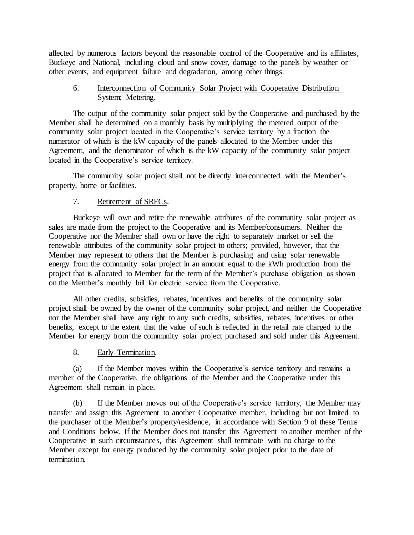affected by numerous factors beyond the reasonable control of the Cooperative and its affiliates, Buckeye and National, including cloud and snow cover, damage to the panels by weather or other events, and equipment failure and degradation, among other things.

## 6. Interconnection of Community Solar Project with Cooperative Distribution System; Metering.

The output of the community solar project sold by the Cooperative and purchased by the Member shall be determined on a monthly basis by multiplying the metered output of the community solar project located in the Cooperative's service territory by a fraction the numerator of which is the kW capacity of the panels allocated to the Member under this Agreement, and the denominator of which is the kW capacity of the community solar project located in the Cooperative's service territory.

The community solar project shall not be directly interconnected with the Member's property, home or facilities.

# 7. Retirement of SRECs.

Buckeye will own and retire the renewable attributes of the community solar project as sales are made from the project to the Cooperative and its Member/consumers. Neither the Cooperative nor the Member shall own or have the right to separately market or sell the renewable attributes of the community solar project to others; provided, however, that the Member may represent to others that the Member is purchasing and using solar renewable energy from the community solar project in an amount equal to the kWh production from the project that is allocated to Member for the term of the Member's purchase obligation as shown on the Member's monthly bill for electric service from the Cooperative.

All other credits, subsidies, rebates, incentives and benefits of the community solar project shall be owned by the owner of the community solar project, and neither the Cooperative nor the Member shall have any right to any such credits, subsidies, rebates, incentives or other benefits, except to the extent that the value of such is reflected in the retail rate charged to the Member for energy from the community solar project purchased and sold under this Agreement.

# 8. Early Termination.

(a) If the Member moves within the Cooperative's service territory and remains a member of the Cooperative, the obligations of the Member and the Cooperative under this Agreement shall remain in place.

(b) If the Member moves out of the Cooperative's service territory, the Member may transfer and assign this Agreement to another Cooperative member, including but not limited to the purchaser of the Member's property/residence, in accordance with Section 9 of these Terms and Conditions below. If the Member does not transfer this Agreement to another member of the Cooperative in such circumstances, this Agreement shall terminate with no charge to the Member except for energy produced by the community solar project prior to the date of termination.